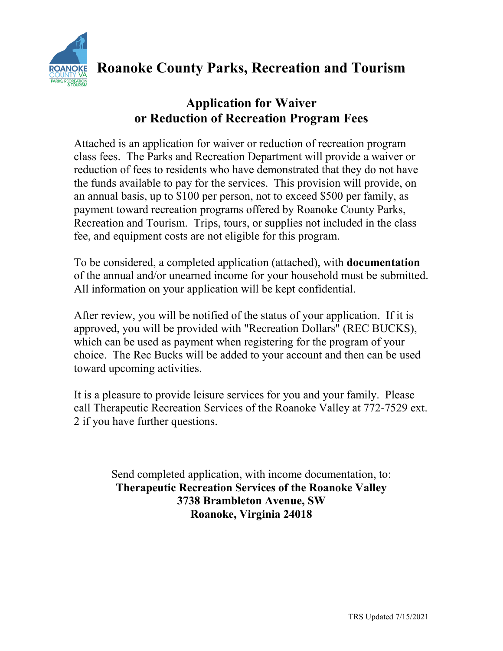

## **Roanoke County Parks, Recreation and Tourism**

## **Application for Waiver or Reduction of Recreation Program Fees**

Attached is an application for waiver or reduction of recreation program class fees. The Parks and Recreation Department will provide a waiver or reduction of fees to residents who have demonstrated that they do not have the funds available to pay for the services. This provision will provide, on an annual basis, up to \$100 per person, not to exceed \$500 per family, as payment toward recreation programs offered by Roanoke County Parks, Recreation and Tourism. Trips, tours, or supplies not included in the class fee, and equipment costs are not eligible for this program.

To be considered, a completed application (attached), with **documentation** of the annual and/or unearned income for your household must be submitted. All information on your application will be kept confidential.

After review, you will be notified of the status of your application. If it is approved, you will be provided with "Recreation Dollars" (REC BUCKS), which can be used as payment when registering for the program of your choice. The Rec Bucks will be added to your account and then can be used toward upcoming activities.

It is a pleasure to provide leisure services for you and your family. Please call Therapeutic Recreation Services of the Roanoke Valley at 772-7529 ext. 2 if you have further questions.

> Send completed application, with income documentation, to: **Therapeutic Recreation Services of the Roanoke Valley 3738 Brambleton Avenue, SW Roanoke, Virginia 24018**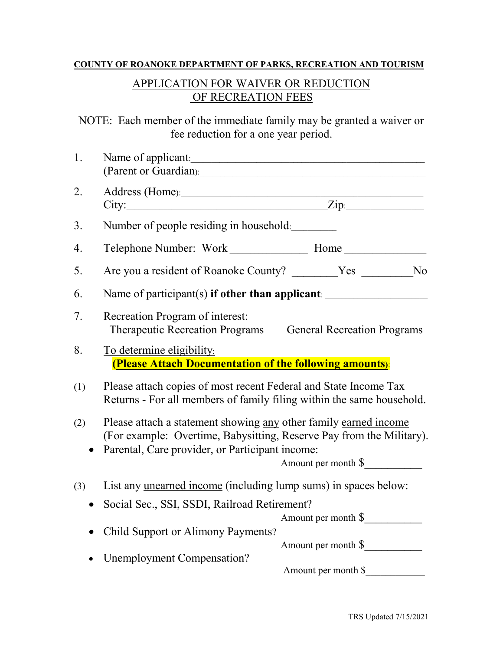## **COUNTY OF ROANOKE DEPARTMENT OF PARKS, RECREATION AND TOURISM**

## APPLICATION FOR WAIVER OR REDUCTION OF RECREATION FEES

NOTE: Each member of the immediate family may be granted a waiver or fee reduction for a one year period.

| 1.  |                                                                                                                                                                                             |  |
|-----|---------------------------------------------------------------------------------------------------------------------------------------------------------------------------------------------|--|
|     | (Parent or Guardian):                                                                                                                                                                       |  |
| 2.  |                                                                                                                                                                                             |  |
|     | $City:$ $Zip:$                                                                                                                                                                              |  |
| 3.  | Number of people residing in household:                                                                                                                                                     |  |
| 4.  |                                                                                                                                                                                             |  |
| 5.  |                                                                                                                                                                                             |  |
| 6.  | Name of participant(s) if other than applicant: ________________________________                                                                                                            |  |
| 7.  | Recreation Program of interest:<br>Therapeutic Recreation Programs General Recreation Programs                                                                                              |  |
| 8.  | To determine eligibility.<br><b>(Please Attach Documentation of the following amounts):</b>                                                                                                 |  |
| (1) | Please attach copies of most recent Federal and State Income Tax<br>Returns - For all members of family filing within the same household.                                                   |  |
| (2) | Please attach a statement showing any other family earned income<br>(For example: Overtime, Babysitting, Reserve Pay from the Military).<br>Parental, Care provider, or Participant income: |  |
|     | Amount per month $\$\$                                                                                                                                                                      |  |
| (3) | List any <u>unearned income</u> (including lump sums) in spaces below:                                                                                                                      |  |
|     | Social Sec., SSI, SSDI, Railroad Retirement?                                                                                                                                                |  |
|     | Amount per month $\$\$                                                                                                                                                                      |  |
|     | <b>Child Support or Alimony Payments?</b>                                                                                                                                                   |  |
|     | Amount per month \$<br><b>Unemployment Compensation?</b>                                                                                                                                    |  |
|     | Amount per month \$                                                                                                                                                                         |  |